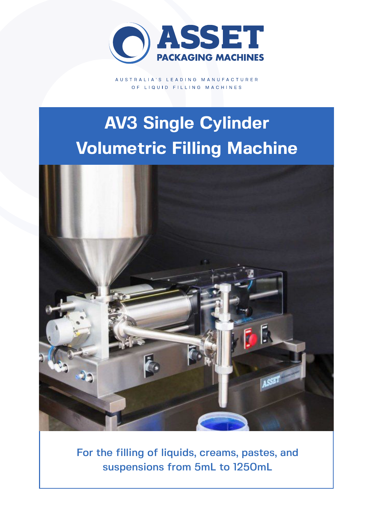

AUSTRALIA'S LEADING MANUFACTURER OF LIQUID FILLING MACHINES

# **AV3 Single Cylinder Volumetric Filling Machine**



For the filling of liquids, creams, pastes, and suspensions from 5mL to 1250mL